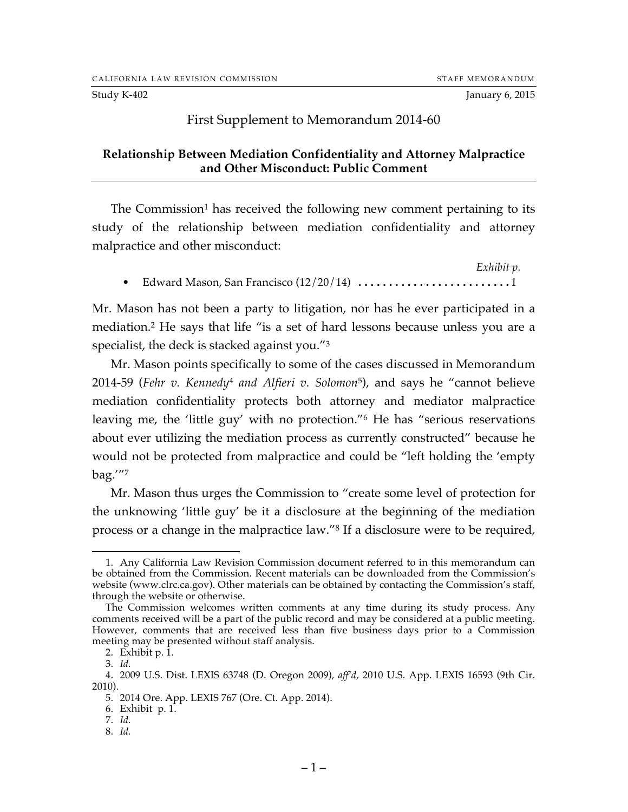## First Supplement to Memorandum 2014-60

## **Relationship Between Mediation Confidentiality and Attorney Malpractice and Other Misconduct: Public Comment**

The Commission<sup>1</sup> has received the following new comment pertaining to its study of the relationship between mediation confidentiality and attorney malpractice and other misconduct:

*Exhibit p.* • Edward Mason, San Francisco (12/20/14) .........................1

Mr. Mason has not been a party to litigation, nor has he ever participated in a mediation.2 He says that life "is a set of hard lessons because unless you are a specialist, the deck is stacked against you."3

Mr. Mason points specifically to some of the cases discussed in Memorandum 2014-59 (*Fehr v. Kennedy*<sup>4</sup> *and Alfieri v. Solomon*5), and says he "cannot believe mediation confidentiality protects both attorney and mediator malpractice leaving me, the 'little guy' with no protection."6 He has "serious reservations about ever utilizing the mediation process as currently constructed" because he would not be protected from malpractice and could be "left holding the 'empty bag.'"7

Mr. Mason thus urges the Commission to "create some level of protection for the unknowing 'little guy' be it a disclosure at the beginning of the mediation process or a change in the malpractice law."8 If a disclosure were to be required,

8. *Id.*

 <sup>1.</sup> Any California Law Revision Commission document referred to in this memorandum can be obtained from the Commission. Recent materials can be downloaded from the Commission's website (www.clrc.ca.gov). Other materials can be obtained by contacting the Commission's staff, through the website or otherwise.

The Commission welcomes written comments at any time during its study process. Any comments received will be a part of the public record and may be considered at a public meeting. However, comments that are received less than five business days prior to a Commission meeting may be presented without staff analysis.

<sup>2.</sup> Exhibit p. 1.

<sup>3.</sup> *Id.*

<sup>4.</sup> 2009 U.S. Dist. LEXIS 63748 (D. Oregon 2009), *aff'd,* 2010 U.S. App. LEXIS 16593 (9th Cir. 2010).

<sup>5.</sup> 2014 Ore. App. LEXIS 767 (Ore. Ct. App. 2014).

<sup>6.</sup> Exhibit p. 1.

<sup>7.</sup> *Id.*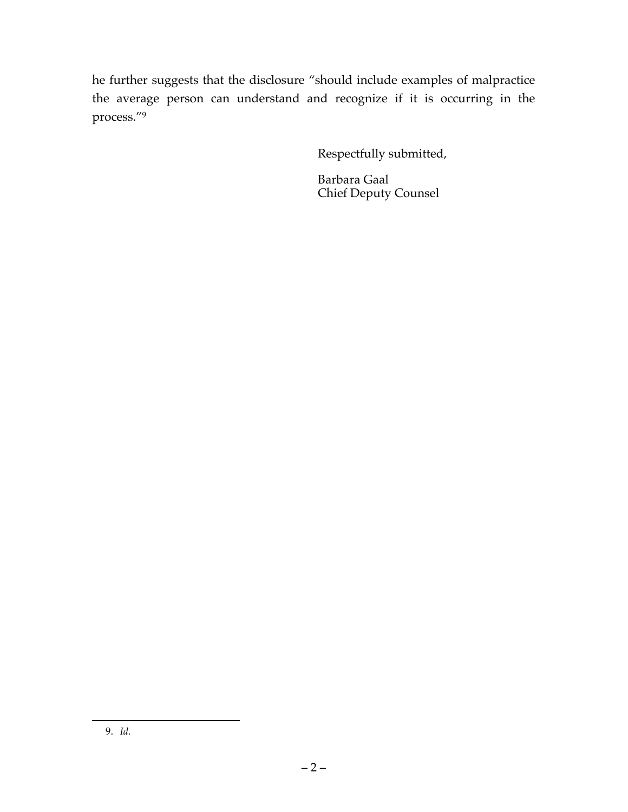he further suggests that the disclosure "should include examples of malpractice the average person can understand and recognize if it is occurring in the process."9

Respectfully submitted,

Barbara Gaal Chief Deputy Counsel